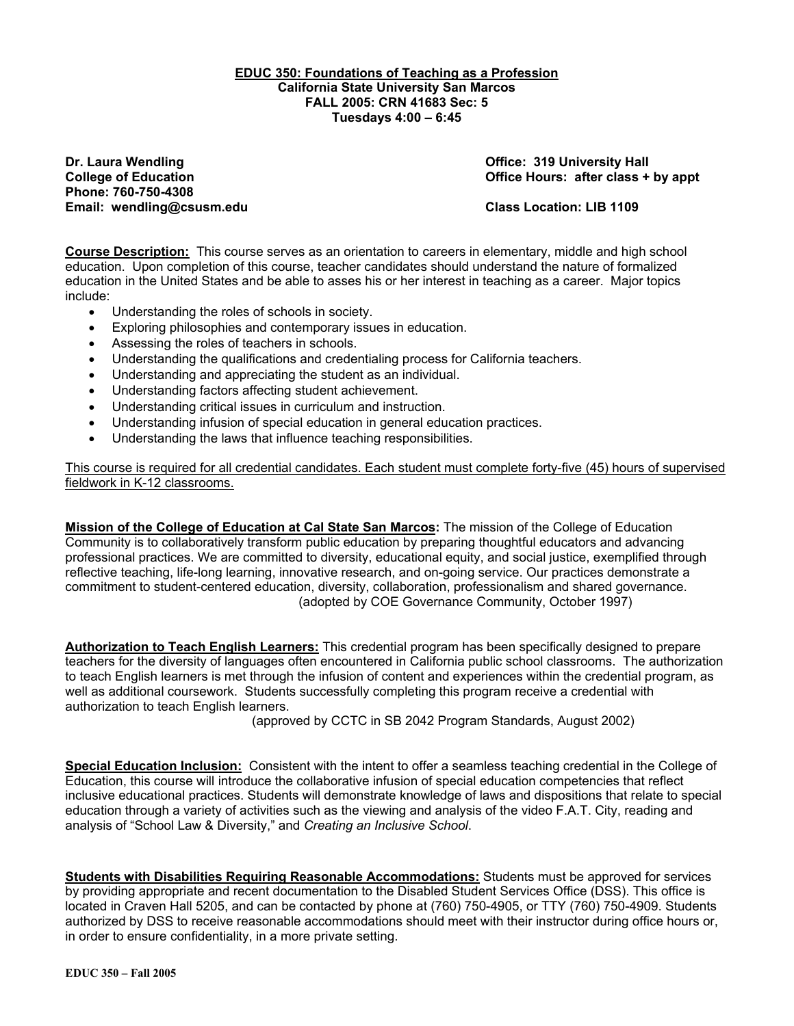#### **EDUC 350: Foundations of Teaching as a Profession California State University San Marcos FALL 2005: CRN 41683 Sec: 5 Tuesdays 4:00 – 6:45**

**Dr. Laura Wendling Community Community Community Community Community Community Community Community Property Add Phone: 760-750-4308 Email: wendling@csusm.edu Class Location: LIB 1109** 

**College of Education College of Education College Act College of Education College Act College Act College Act College Act Office Hours: after class + by appt** 

**Course Description:** This course serves as an orientation to careers in elementary, middle and high school education. Upon completion of this course, teacher candidates should understand the nature of formalized education in the United States and be able to asses his or her interest in teaching as a career. Major topics include:

- Understanding the roles of schools in society.
- Exploring philosophies and contemporary issues in education.
- Assessing the roles of teachers in schools.
- Understanding the qualifications and credentialing process for California teachers.
- Understanding and appreciating the student as an individual.
- Understanding factors affecting student achievement.
- Understanding critical issues in curriculum and instruction.
- Understanding infusion of special education in general education practices.
- Understanding the laws that influence teaching responsibilities.

This course is required for all credential candidates. Each student must complete forty-five (45) hours of supervised fieldwork in K-12 classrooms.

**Mission of the College of Education at Cal State San Marcos:** The mission of the College of Education Community is to collaboratively transform public education by preparing thoughtful educators and advancing professional practices. We are committed to diversity, educational equity, and social justice, exemplified through reflective teaching, life-long learning, innovative research, and on-going service. Our practices demonstrate a commitment to student-centered education, diversity, collaboration, professionalism and shared governance. (adopted by COE Governance Community, October 1997)

**Authorization to Teach English Learners:** This credential program has been specifically designed to prepare teachers for the diversity of languages often encountered in California public school classrooms. The authorization to teach English learners is met through the infusion of content and experiences within the credential program, as well as additional coursework. Students successfully completing this program receive a credential with authorization to teach English learners.

(approved by CCTC in SB 2042 Program Standards, August 2002)

**Special Education Inclusion:** Consistent with the intent to offer a seamless teaching credential in the College of Education, this course will introduce the collaborative infusion of special education competencies that reflect inclusive educational practices. Students will demonstrate knowledge of laws and dispositions that relate to special education through a variety of activities such as the viewing and analysis of the video F.A.T. City, reading and analysis of "School Law & Diversity," and *Creating an Inclusive School*.

**Students with Disabilities Requiring Reasonable Accommodations:** Students must be approved for services by providing appropriate and recent documentation to the Disabled Student Services Office (DSS). This office is located in Craven Hall 5205, and can be contacted by phone at (760) 750-4905, or TTY (760) 750-4909. Students authorized by DSS to receive reasonable accommodations should meet with their instructor during office hours or, in order to ensure confidentiality, in a more private setting.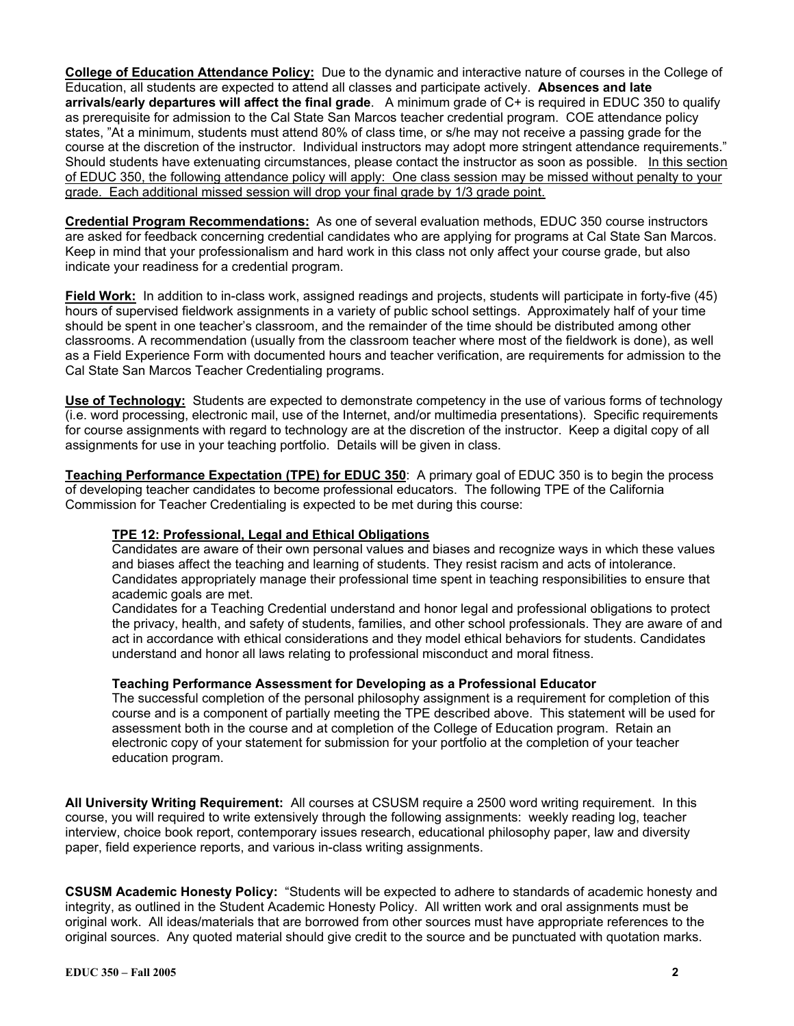**College of Education Attendance Policy:** Due to the dynamic and interactive nature of courses in the College of Education, all students are expected to attend all classes and participate actively. **Absences and late arrivals/early departures will affect the final grade**. A minimum grade of C+ is required in EDUC 350 to qualify as prerequisite for admission to the Cal State San Marcos teacher credential program. COE attendance policy states, "At a minimum, students must attend 80% of class time, or s/he may not receive a passing grade for the course at the discretion of the instructor. Individual instructors may adopt more stringent attendance requirements." Should students have extenuating circumstances, please contact the instructor as soon as possible. In this section of EDUC 350, the following attendance policy will apply: One class session may be missed without penalty to your grade. Each additional missed session will drop your final grade by 1/3 grade point.

**Credential Program Recommendations:** As one of several evaluation methods, EDUC 350 course instructors are asked for feedback concerning credential candidates who are applying for programs at Cal State San Marcos. Keep in mind that your professionalism and hard work in this class not only affect your course grade, but also indicate your readiness for a credential program.

**Field Work:** In addition to in-class work, assigned readings and projects, students will participate in forty-five (45) hours of supervised fieldwork assignments in a variety of public school settings. Approximately half of your time should be spent in one teacher's classroom, and the remainder of the time should be distributed among other classrooms. A recommendation (usually from the classroom teacher where most of the fieldwork is done), as well as a Field Experience Form with documented hours and teacher verification, are requirements for admission to the Cal State San Marcos Teacher Credentialing programs.

**Use of Technology:** Students are expected to demonstrate competency in the use of various forms of technology (i.e. word processing, electronic mail, use of the Internet, and/or multimedia presentations). Specific requirements for course assignments with regard to technology are at the discretion of the instructor. Keep a digital copy of all assignments for use in your teaching portfolio. Details will be given in class.

**Teaching Performance Expectation (TPE) for EDUC 350**: A primary goal of EDUC 350 is to begin the process of developing teacher candidates to become professional educators. The following TPE of the California Commission for Teacher Credentialing is expected to be met during this course:

### **TPE 12: Professional, Legal and Ethical Obligations**

Candidates are aware of their own personal values and biases and recognize ways in which these values and biases affect the teaching and learning of students. They resist racism and acts of intolerance. Candidates appropriately manage their professional time spent in teaching responsibilities to ensure that academic goals are met.

Candidates for a Teaching Credential understand and honor legal and professional obligations to protect the privacy, health, and safety of students, families, and other school professionals. They are aware of and act in accordance with ethical considerations and they model ethical behaviors for students. Candidates understand and honor all laws relating to professional misconduct and moral fitness.

#### **Teaching Performance Assessment for Developing as a Professional Educator**

The successful completion of the personal philosophy assignment is a requirement for completion of this course and is a component of partially meeting the TPE described above. This statement will be used for assessment both in the course and at completion of the College of Education program. Retain an electronic copy of your statement for submission for your portfolio at the completion of your teacher education program.

**All University Writing Requirement:** All courses at CSUSM require a 2500 word writing requirement. In this course, you will required to write extensively through the following assignments: weekly reading log, teacher interview, choice book report, contemporary issues research, educational philosophy paper, law and diversity paper, field experience reports, and various in-class writing assignments.

**CSUSM Academic Honesty Policy:** "Students will be expected to adhere to standards of academic honesty and integrity, as outlined in the Student Academic Honesty Policy. All written work and oral assignments must be original work. All ideas/materials that are borrowed from other sources must have appropriate references to the original sources. Any quoted material should give credit to the source and be punctuated with quotation marks.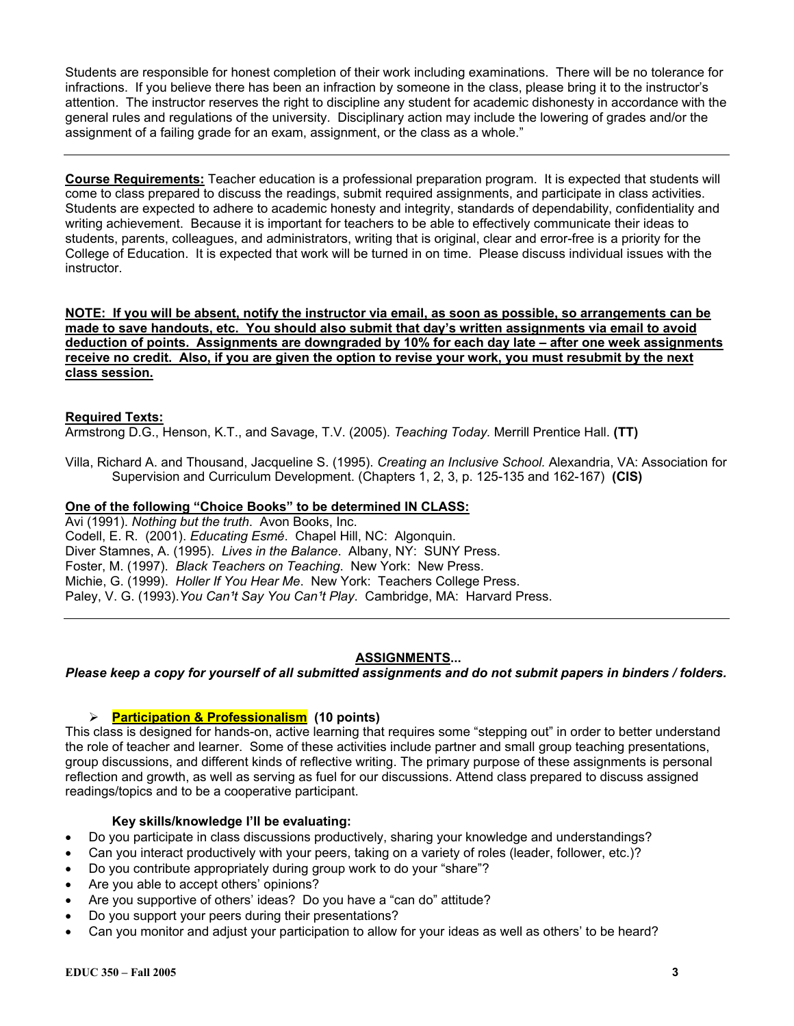Students are responsible for honest completion of their work including examinations. There will be no tolerance for infractions. If you believe there has been an infraction by someone in the class, please bring it to the instructor's attention. The instructor reserves the right to discipline any student for academic dishonesty in accordance with the general rules and regulations of the university. Disciplinary action may include the lowering of grades and/or the assignment of a failing grade for an exam, assignment, or the class as a whole."

**Course Requirements:** Teacher education is a professional preparation program. It is expected that students will come to class prepared to discuss the readings, submit required assignments, and participate in class activities. Students are expected to adhere to academic honesty and integrity, standards of dependability, confidentiality and writing achievement. Because it is important for teachers to be able to effectively communicate their ideas to students, parents, colleagues, and administrators, writing that is original, clear and error-free is a priority for the College of Education. It is expected that work will be turned in on time. Please discuss individual issues with the instructor.

**NOTE: If you will be absent, notify the instructor via email, as soon as possible, so arrangements can be made to save handouts, etc. You should also submit that day's written assignments via email to avoid deduction of points. Assignments are downgraded by 10% for each day late – after one week assignments receive no credit. Also, if you are given the option to revise your work, you must resubmit by the next class session.**

### **Required Texts:**

Armstrong D.G., Henson, K.T., and Savage, T.V. (2005). *Teaching Today.* Merrill Prentice Hall. **(TT)**

Villa, Richard A. and Thousand, Jacqueline S. (1995). *Creating an Inclusive School.* Alexandria, VA: Association for Supervision and Curriculum Development. (Chapters 1, 2, 3, p. 125-135 and 162-167) **(CIS)**

### **One of the following "Choice Books" to be determined IN CLASS:**

Avi (1991). *Nothing but the truth*. Avon Books, Inc. Codell, E. R. (2001). *Educating Esmé*. Chapel Hill, NC: Algonquin. Diver Stamnes, A. (1995). *Lives in the Balance*. Albany, NY: SUNY Press. Foster, M. (1997). *Black Teachers on Teaching*. New York: New Press. Michie, G. (1999). *Holler If You Hear Me*. New York: Teachers College Press. Paley, V. G. (1993). You Can<sup>1</sup>t Say You Can<sup>1</sup>t Play. Cambridge, MA: Harvard Press.

### **ASSIGNMENTS...**

### *Please keep a copy for yourself of all submitted assignments and do not submit papers in binders / folders.*

#### ¾ **Participation & Professionalism (10 points)**

This class is designed for hands-on, active learning that requires some "stepping out" in order to better understand the role of teacher and learner. Some of these activities include partner and small group teaching presentations, group discussions, and different kinds of reflective writing. The primary purpose of these assignments is personal reflection and growth, as well as serving as fuel for our discussions. Attend class prepared to discuss assigned readings/topics and to be a cooperative participant.

#### **Key skills/knowledge I'll be evaluating:**

- Do you participate in class discussions productively, sharing your knowledge and understandings?
- Can you interact productively with your peers, taking on a variety of roles (leader, follower, etc.)?
- Do you contribute appropriately during group work to do your "share"?
- Are you able to accept others' opinions?
- Are you supportive of others' ideas? Do you have a "can do" attitude?
- Do you support your peers during their presentations?
- Can you monitor and adjust your participation to allow for your ideas as well as others' to be heard?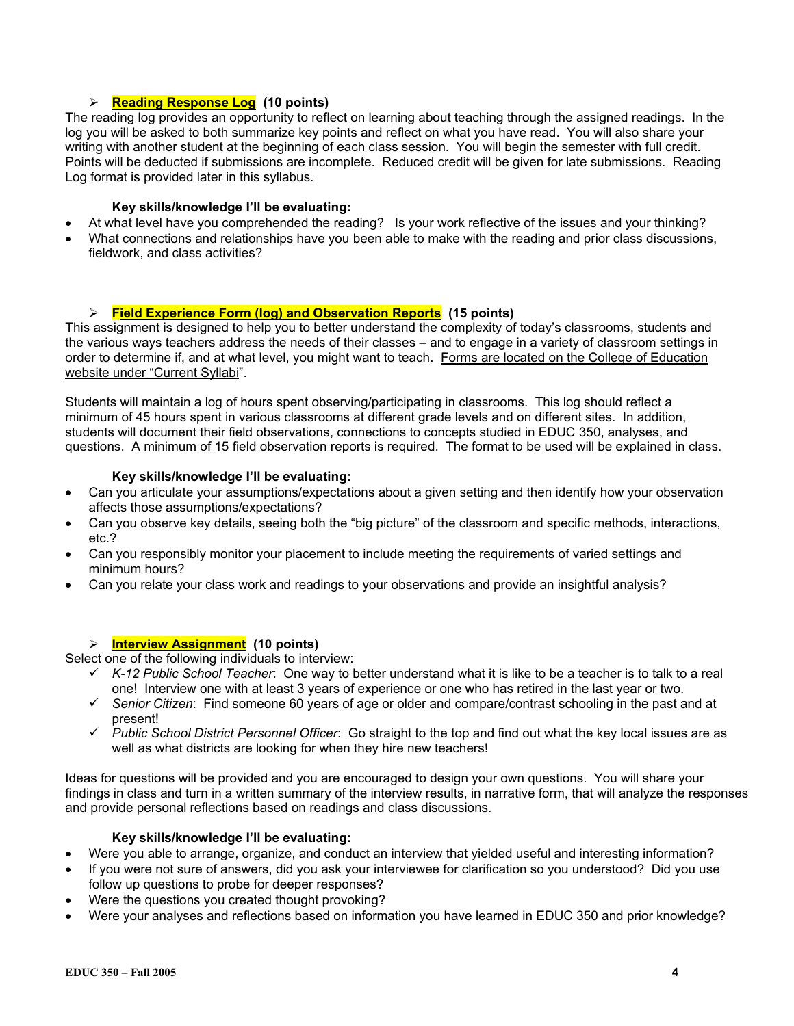### ¾ **Reading Response Log (10 points)**

The reading log provides an opportunity to reflect on learning about teaching through the assigned readings. In the log you will be asked to both summarize key points and reflect on what you have read. You will also share your writing with another student at the beginning of each class session. You will begin the semester with full credit. Points will be deducted if submissions are incomplete. Reduced credit will be given for late submissions. Reading Log format is provided later in this syllabus.

### **Key skills/knowledge I'll be evaluating:**

- At what level have you comprehended the reading? Is your work reflective of the issues and your thinking?
- What connections and relationships have you been able to make with the reading and prior class discussions, fieldwork, and class activities?

### ¾ **Field Experience Form (log) and Observation Reports (15 points)**

This assignment is designed to help you to better understand the complexity of today's classrooms, students and the various ways teachers address the needs of their classes – and to engage in a variety of classroom settings in order to determine if, and at what level, you might want to teach. Forms are located on the College of Education website under "Current Syllabi".

Students will maintain a log of hours spent observing/participating in classrooms. This log should reflect a minimum of 45 hours spent in various classrooms at different grade levels and on different sites. In addition, students will document their field observations, connections to concepts studied in EDUC 350, analyses, and questions. A minimum of 15 field observation reports is required. The format to be used will be explained in class.

#### **Key skills/knowledge I'll be evaluating:**

- Can you articulate your assumptions/expectations about a given setting and then identify how your observation affects those assumptions/expectations?
- Can you observe key details, seeing both the "big picture" of the classroom and specific methods, interactions, etc.?
- Can you responsibly monitor your placement to include meeting the requirements of varied settings and minimum hours?
- Can you relate your class work and readings to your observations and provide an insightful analysis?

### ¾ **Interview Assignment (10 points)**

Select one of the following individuals to interview:

- 9 *K-12 Public School Teacher*: One way to better understand what it is like to be a teacher is to talk to a real one! Interview one with at least 3 years of experience or one who has retired in the last year or two.
- 9 *Senior Citizen*: Find someone 60 years of age or older and compare/contrast schooling in the past and at present!
- 9 *Public School District Personnel Officer*: Go straight to the top and find out what the key local issues are as well as what districts are looking for when they hire new teachers!

Ideas for questions will be provided and you are encouraged to design your own questions. You will share your findings in class and turn in a written summary of the interview results, in narrative form, that will analyze the responses and provide personal reflections based on readings and class discussions.

#### **Key skills/knowledge I'll be evaluating:**

- Were you able to arrange, organize, and conduct an interview that yielded useful and interesting information?
- If you were not sure of answers, did you ask your interviewee for clarification so you understood? Did you use follow up questions to probe for deeper responses?
- Were the questions you created thought provoking?
- Were your analyses and reflections based on information you have learned in EDUC 350 and prior knowledge?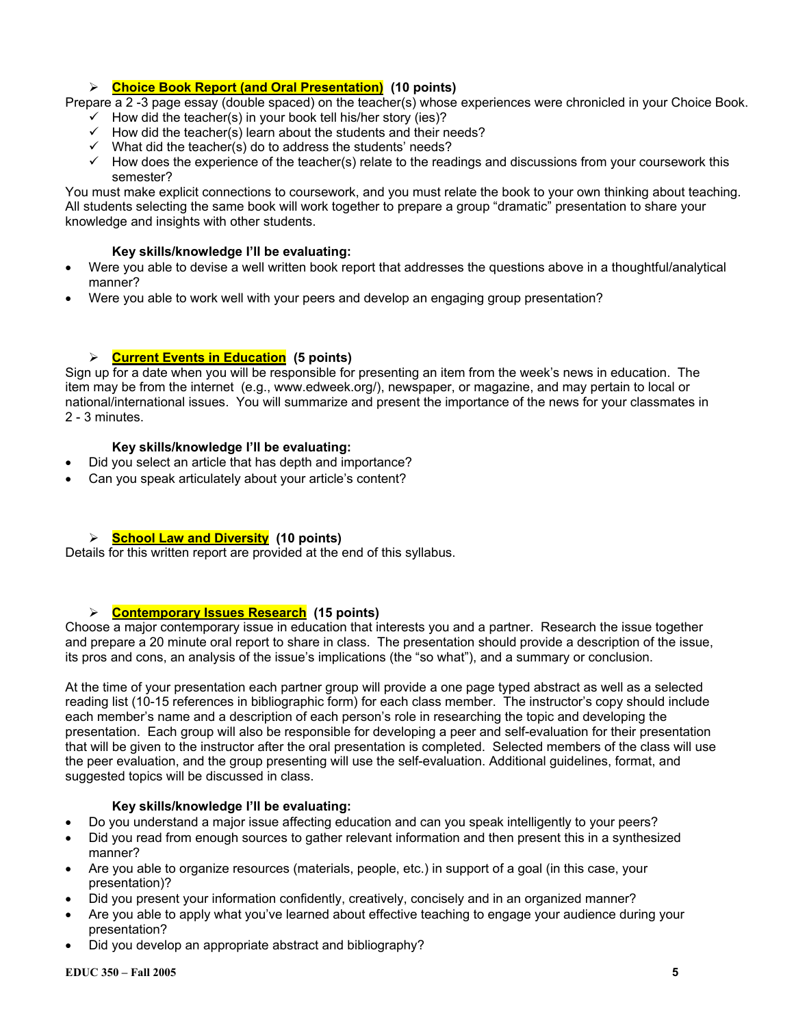# ¾ **Choice Book Report (and Oral Presentation) (10 points)**

Prepare a 2 -3 page essay (double spaced) on the teacher(s) whose experiences were chronicled in your Choice Book.

- $\checkmark$  How did the teacher(s) in your book tell his/her story (ies)?
- $\checkmark$  How did the teacher(s) learn about the students and their needs?
- $\checkmark$  What did the teacher(s) do to address the students' needs?
- $\checkmark$  How does the experience of the teacher(s) relate to the readings and discussions from your coursework this semester?

You must make explicit connections to coursework, and you must relate the book to your own thinking about teaching. All students selecting the same book will work together to prepare a group "dramatic" presentation to share your knowledge and insights with other students.

### **Key skills/knowledge I'll be evaluating:**

- Were you able to devise a well written book report that addresses the questions above in a thoughtful/analytical manner?
- Were you able to work well with your peers and develop an engaging group presentation?

# ¾ **Current Events in Education (5 points)**

Sign up for a date when you will be responsible for presenting an item from the week's news in education. The item may be from the internet (e.g., www.edweek.org/), newspaper, or magazine, and may pertain to local or national/international issues. You will summarize and present the importance of the news for your classmates in 2 - 3 minutes.

### **Key skills/knowledge I'll be evaluating:**

- Did you select an article that has depth and importance?
- Can you speak articulately about your article's content?

### ¾ **School Law and Diversity (10 points)**

Details for this written report are provided at the end of this syllabus.

# ¾ **Contemporary Issues Research (15 points)**

Choose a major contemporary issue in education that interests you and a partner. Research the issue together and prepare a 20 minute oral report to share in class. The presentation should provide a description of the issue, its pros and cons, an analysis of the issue's implications (the "so what"), and a summary or conclusion.

At the time of your presentation each partner group will provide a one page typed abstract as well as a selected reading list (10-15 references in bibliographic form) for each class member. The instructor's copy should include each member's name and a description of each person's role in researching the topic and developing the presentation. Each group will also be responsible for developing a peer and self-evaluation for their presentation that will be given to the instructor after the oral presentation is completed. Selected members of the class will use the peer evaluation, and the group presenting will use the self-evaluation. Additional guidelines, format, and suggested topics will be discussed in class.

### **Key skills/knowledge I'll be evaluating:**

- Do you understand a major issue affecting education and can you speak intelligently to your peers?
- Did you read from enough sources to gather relevant information and then present this in a synthesized manner?
- Are you able to organize resources (materials, people, etc.) in support of a goal (in this case, your presentation)?
- Did you present your information confidently, creatively, concisely and in an organized manner?
- Are you able to apply what you've learned about effective teaching to engage your audience during your presentation?
- Did you develop an appropriate abstract and bibliography?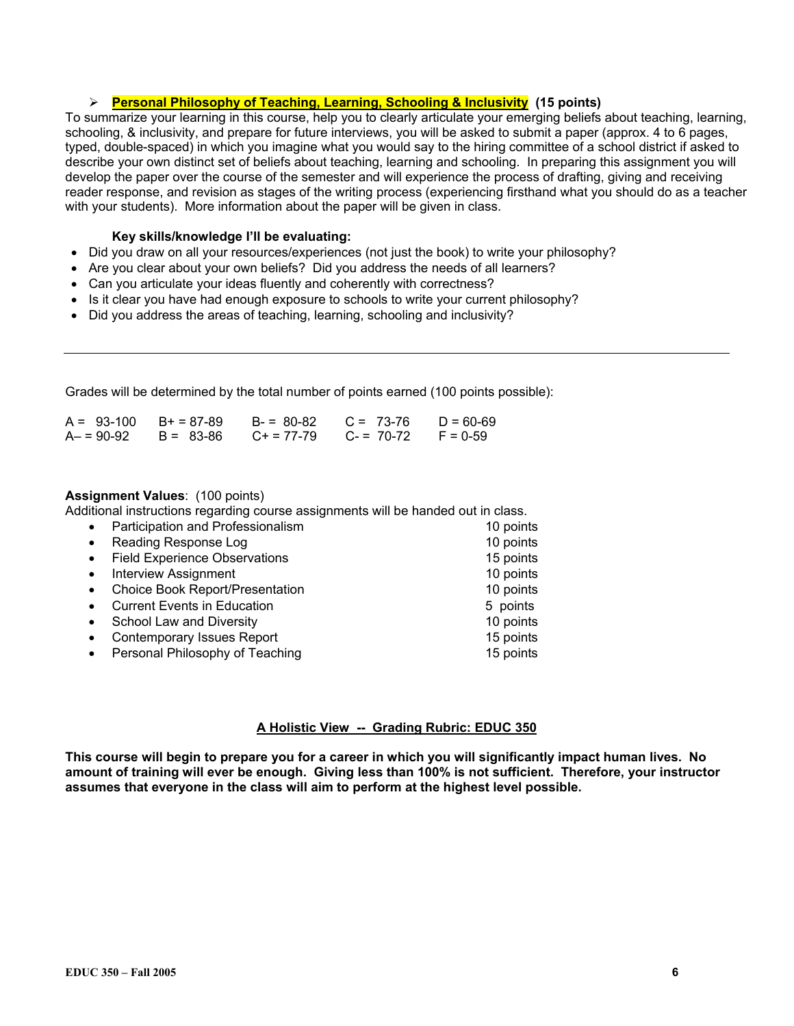### ¾ **Personal Philosophy of Teaching, Learning, Schooling & Inclusivity (15 points)**

To summarize your learning in this course, help you to clearly articulate your emerging beliefs about teaching, learning, schooling, & inclusivity, and prepare for future interviews, you will be asked to submit a paper (approx. 4 to 6 pages, typed, double-spaced) in which you imagine what you would say to the hiring committee of a school district if asked to describe your own distinct set of beliefs about teaching, learning and schooling. In preparing this assignment you will develop the paper over the course of the semester and will experience the process of drafting, giving and receiving reader response, and revision as stages of the writing process (experiencing firsthand what you should do as a teacher with your students). More information about the paper will be given in class.

#### **Key skills/knowledge I'll be evaluating:**

- Did you draw on all your resources/experiences (not just the book) to write your philosophy?
- Are you clear about your own beliefs? Did you address the needs of all learners?
- Can you articulate your ideas fluently and coherently with correctness?
- Is it clear you have had enough exposure to schools to write your current philosophy?
- Did you address the areas of teaching, learning, schooling and inclusivity?

Grades will be determined by the total number of points earned (100 points possible):

| $A = 93-100$ $B+ = 87-89$ |           | $B - 80 - 82$       | $C = 73-76$ | $D = 60-69$ |
|---------------------------|-----------|---------------------|-------------|-------------|
| $A - 90-92$               | B = 83-86 | $C_{\pm} = 77 - 79$ | $C = 70-72$ | $F = 0.59$  |

#### **Assignment Values**: (100 points)

Additional instructions regarding course assignments will be handed out in class.

| $\bullet$ | Participation and Professionalism      | 10 points |
|-----------|----------------------------------------|-----------|
| $\bullet$ | Reading Response Log                   | 10 points |
| $\bullet$ | <b>Field Experience Observations</b>   | 15 points |
| $\bullet$ | <b>Interview Assignment</b>            | 10 points |
| $\bullet$ | <b>Choice Book Report/Presentation</b> | 10 points |
| $\bullet$ | <b>Current Events in Education</b>     | 5 points  |
| $\bullet$ | School Law and Diversity               | 10 points |
| $\bullet$ | <b>Contemporary Issues Report</b>      | 15 points |
| $\bullet$ | Personal Philosophy of Teaching        | 15 points |

### **A Holistic View -- Grading Rubric: EDUC 350**

**This course will begin to prepare you for a career in which you will significantly impact human lives. No amount of training will ever be enough. Giving less than 100% is not sufficient. Therefore, your instructor assumes that everyone in the class will aim to perform at the highest level possible.**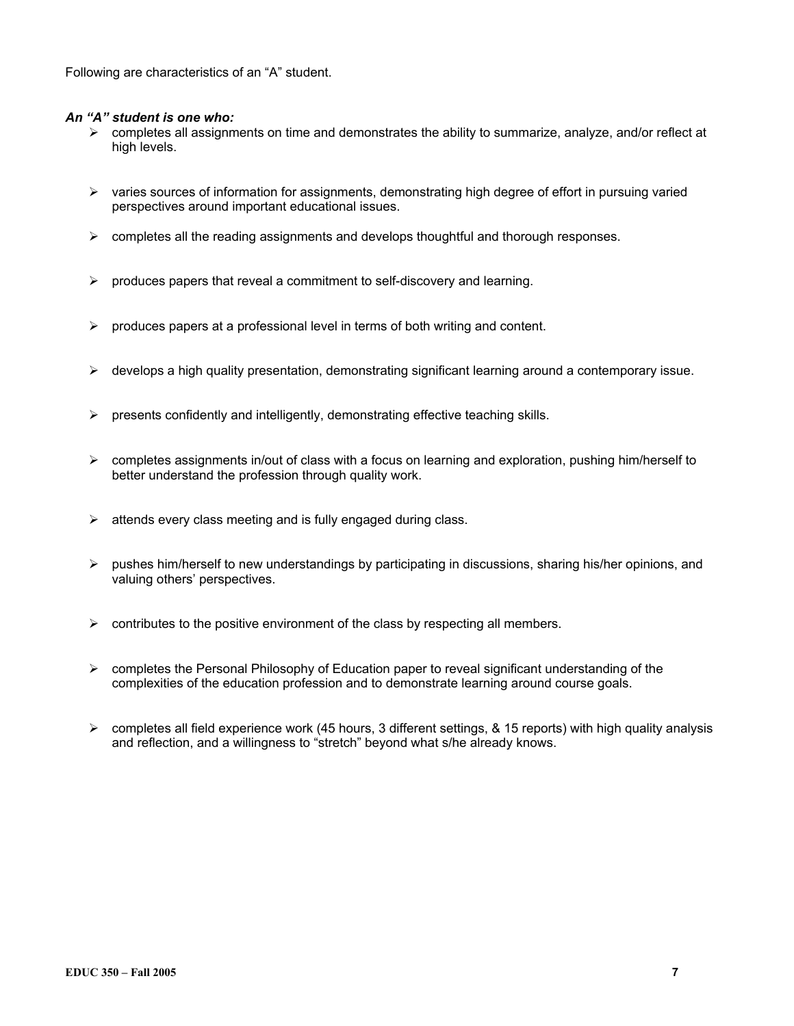Following are characteristics of an "A" student.

### *An "A" student is one who:*

- $\triangleright$  completes all assignments on time and demonstrates the ability to summarize, analyze, and/or reflect at high levels.
- $\triangleright$  varies sources of information for assignments, demonstrating high degree of effort in pursuing varied perspectives around important educational issues.
- $\triangleright$  completes all the reading assignments and develops thought full and thorough responses.
- $\triangleright$  produces papers that reveal a commitment to self-discovery and learning.
- $\triangleright$  produces papers at a professional level in terms of both writing and content.
- ¾ develops a high quality presentation, demonstrating significant learning around a contemporary issue.
- $\triangleright$  presents confidently and intelligently, demonstrating effective teaching skills.
- $\triangleright$  completes assignments in/out of class with a focus on learning and exploration, pushing him/herself to better understand the profession through quality work.
- $\triangleright$  attends every class meeting and is fully engaged during class.
- $\triangleright$  pushes him/herself to new understandings by participating in discussions, sharing his/her opinions, and valuing others' perspectives.
- $\triangleright$  contributes to the positive environment of the class by respecting all members.
- $\triangleright$  completes the Personal Philosophy of Education paper to reveal significant understanding of the complexities of the education profession and to demonstrate learning around course goals.
- $\triangleright$  completes all field experience work (45 hours, 3 different settings, & 15 reports) with high quality analysis and reflection, and a willingness to "stretch" beyond what s/he already knows.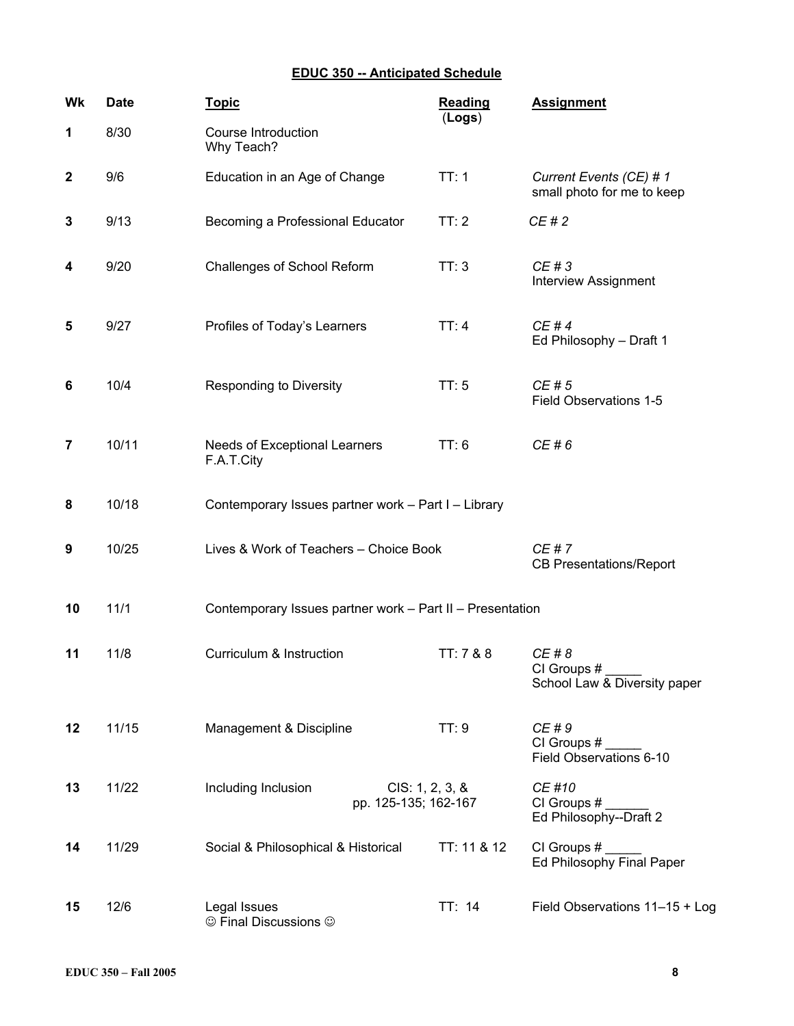# **EDUC 350 -- Anticipated Schedule**

| Wk           | <b>Date</b> | <b>Topic</b>                                                   | <b>Reading</b><br>(Logs) | <b>Assignment</b>                                     |
|--------------|-------------|----------------------------------------------------------------|--------------------------|-------------------------------------------------------|
| 1            | 8/30        | Course Introduction<br>Why Teach?                              |                          |                                                       |
| $\mathbf{2}$ | 9/6         | Education in an Age of Change                                  | TT:1                     | Current Events (CE) # 1<br>small photo for me to keep |
| 3            | 9/13        | Becoming a Professional Educator                               | TT:2                     | CE#2                                                  |
| 4            | 9/20        | Challenges of School Reform                                    | TT:3                     | CE # 3<br><b>Interview Assignment</b>                 |
| 5            | 9/27        | Profiles of Today's Learners                                   | TT:4                     | CE #4<br>Ed Philosophy - Draft 1                      |
| 6            | 10/4        | <b>Responding to Diversity</b>                                 | TT:5                     | CE#5<br>Field Observations 1-5                        |
| 7            | 10/11       | Needs of Exceptional Learners<br>F.A.T.City                    | TT: 6                    | CE # 6                                                |
| 8            | 10/18       | Contemporary Issues partner work - Part I - Library            |                          |                                                       |
| 9            | 10/25       | Lives & Work of Teachers - Choice Book                         |                          | CE#7<br><b>CB Presentations/Report</b>                |
| 10           | 11/1        | Contemporary Issues partner work - Part II - Presentation      |                          |                                                       |
| 11           | 11/8        | Curriculum & Instruction                                       | TT: 7 & 8                | CE # 8<br>CI Groups #<br>School Law & Diversity paper |
| 12           | 11/15       | Management & Discipline                                        | TT:9                     | CE # 9<br>CI Groups #<br>Field Observations 6-10      |
| 13           | 11/22       | Including Inclusion<br>CIS: 1, 2, 3, 8<br>pp. 125-135; 162-167 |                          | CE #10<br>CI Groups #<br>Ed Philosophy--Draft 2       |
| 14           | 11/29       | Social & Philosophical & Historical                            | TT: 11 & 12              | CI Groups #<br>Ed Philosophy Final Paper              |
| 15           | 12/6        | Legal Issues<br>© Final Discussions ©                          | TT: 14                   | Field Observations 11-15 + Log                        |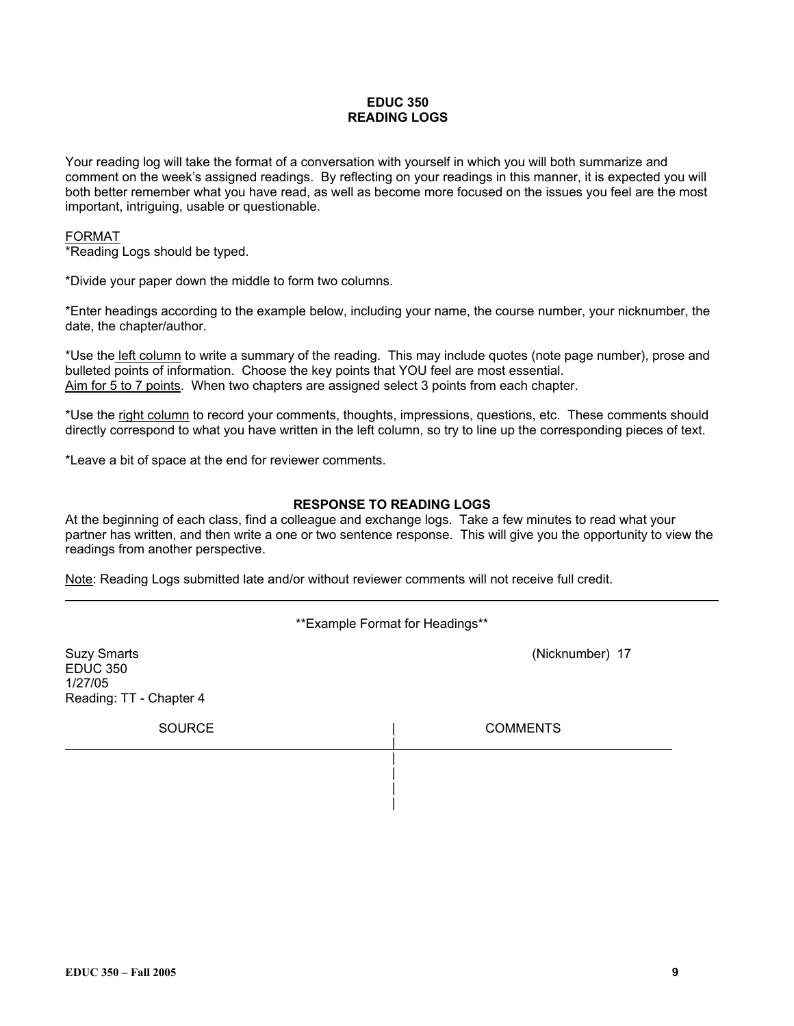### **EDUC 350 READING LOGS**

Your reading log will take the format of a conversation with yourself in which you will both summarize and comment on the week's assigned readings. By reflecting on your readings in this manner, it is expected you will both better remember what you have read, as well as become more focused on the issues you feel are the most important, intriguing, usable or questionable.

### FORMAT

\*Reading Logs should be typed.

\*Divide your paper down the middle to form two columns.

\*Enter headings according to the example below, including your name, the course number, your nicknumber, the date, the chapter/author.

\*Use the left column to write a summary of the reading. This may include quotes (note page number), prose and bulleted points of information. Choose the key points that YOU feel are most essential. Aim for 5 to 7 points. When two chapters are assigned select 3 points from each chapter.

\*Use the right column to record your comments, thoughts, impressions, questions, etc. These comments should directly correspond to what you have written in the left column, so try to line up the corresponding pieces of text.

\*Leave a bit of space at the end for reviewer comments.

#### **RESPONSE TO READING LOGS**

At the beginning of each class, find a colleague and exchange logs. Take a few minutes to read what your partner has written, and then write a one or two sentence response. This will give you the opportunity to view the readings from another perspective.

Note: Reading Logs submitted late and/or without reviewer comments will not receive full credit.

\*\*Example Format for Headings\*\*

| <b>Suzy Smarts</b><br><b>EDUC 350</b><br>1/27/05<br>Reading: TT - Chapter 4 | (Nicknumber) 17 |
|-----------------------------------------------------------------------------|-----------------|
| <b>SOURCE</b>                                                               | <b>COMMENTS</b> |
|                                                                             |                 |
|                                                                             |                 |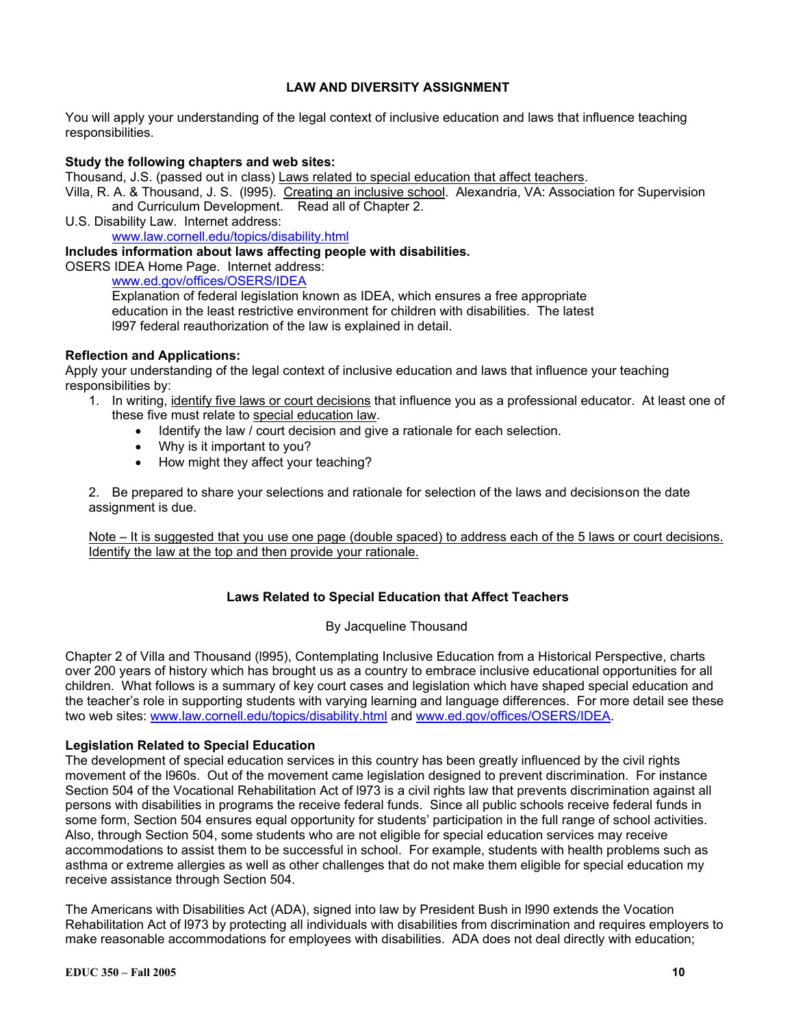### **LAW AND DIVERSITY ASSIGNMENT**

You will apply your understanding of the legal context of inclusive education and laws that influence teaching responsibilities.

#### **Study the following chapters and web sites:**

Thousand, J.S. (passed out in class) Laws related to special education that affect teachers.

Villa, R. A. & Thousand, J. S. (1995). Creating an inclusive school. Alexandria, VA: Association for Supervision and Curriculum Development. Read all of Chapter 2.

U.S. Disability Law. Internet address: www.law.cornell.edu/topics/disability.html

#### **Includes information about laws affecting people with disabilities.**

OSERS IDEA Home Page. Internet address:

www.ed.gov/offices/OSERS/IDEA

Explanation of federal legislation known as IDEA, which ensures a free appropriate education in the least restrictive environment for children with disabilities. The latest l997 federal reauthorization of the law is explained in detail.

#### **Reflection and Applications:**

Apply your understanding of the legal context of inclusive education and laws that influence your teaching responsibilities by:

- 1. In writing, identify five laws or court decisions that influence you as a professional educator. At least one of these five must relate to special education law.
	- Identify the law / court decision and give a rationale for each selection.
	- Why is it important to you?
	- How might they affect your teaching?

2. Be prepared to share your selections and rationale for selection of the laws and decisions on the date assignment is due.

Note – It is suggested that you use one page (double spaced) to address each of the 5 laws or court decisions. Identify the law at the top and then provide your rationale.

#### **Laws Related to Special Education that Affect Teachers**

#### By Jacqueline Thousand

Chapter 2 of Villa and Thousand (l995), Contemplating Inclusive Education from a Historical Perspective, charts over 200 years of history which has brought us as a country to embrace inclusive educational opportunities for all children. What follows is a summary of key court cases and legislation which have shaped special education and the teacher's role in supporting students with varying learning and language differences. For more detail see these two web sites: www.law.cornell.edu/topics/disability.html and www.ed.gov/offices/OSERS/IDEA.

#### **Legislation Related to Special Education**

The development of special education services in this country has been greatly influenced by the civil rights movement of the l960s. Out of the movement came legislation designed to prevent discrimination. For instance Section 504 of the Vocational Rehabilitation Act of l973 is a civil rights law that prevents discrimination against all persons with disabilities in programs the receive federal funds. Since all public schools receive federal funds in some form, Section 504 ensures equal opportunity for students' participation in the full range of school activities. Also, through Section 504, some students who are not eligible for special education services may receive accommodations to assist them to be successful in school. For example, students with health problems such as asthma or extreme allergies as well as other challenges that do not make them eligible for special education my receive assistance through Section 504.

The Americans with Disabilities Act (ADA), signed into law by President Bush in l990 extends the Vocation Rehabilitation Act of l973 by protecting all individuals with disabilities from discrimination and requires employers to make reasonable accommodations for employees with disabilities. ADA does not deal directly with education;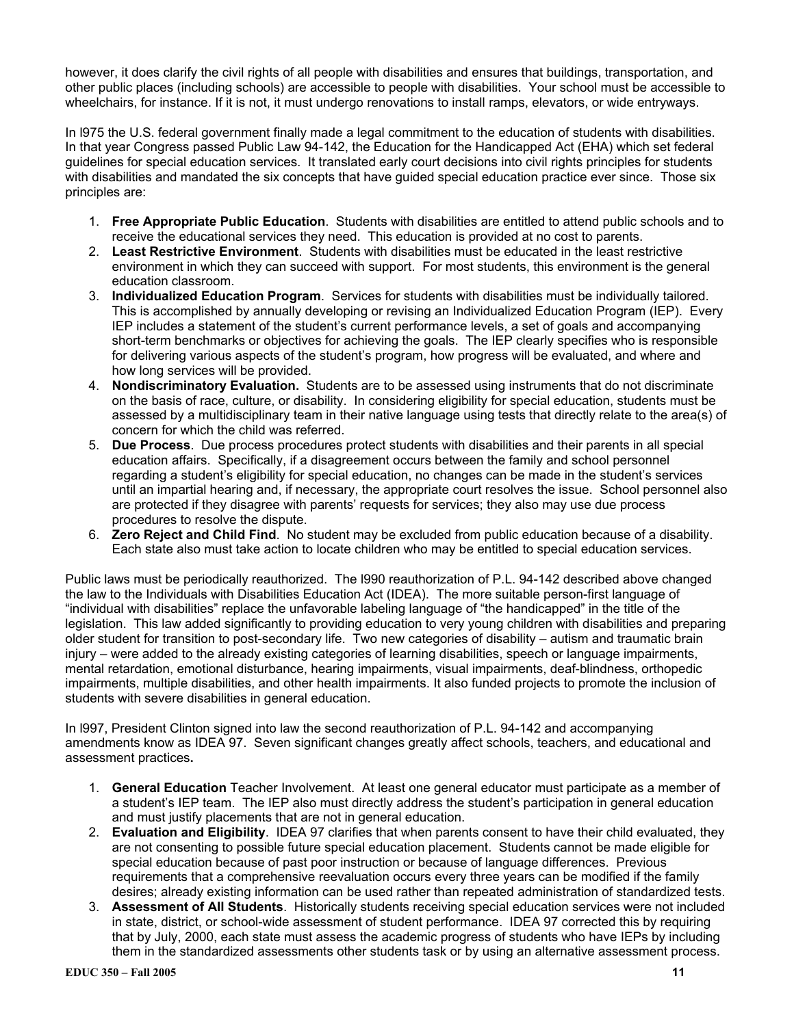however, it does clarify the civil rights of all people with disabilities and ensures that buildings, transportation, and other public places (including schools) are accessible to people with disabilities. Your school must be accessible to wheelchairs, for instance. If it is not, it must undergo renovations to install ramps, elevators, or wide entryways.

In l975 the U.S. federal government finally made a legal commitment to the education of students with disabilities. In that year Congress passed Public Law 94-142, the Education for the Handicapped Act (EHA) which set federal guidelines for special education services. It translated early court decisions into civil rights principles for students with disabilities and mandated the six concepts that have guided special education practice ever since. Those six principles are:

- 1. **Free Appropriate Public Education**. Students with disabilities are entitled to attend public schools and to receive the educational services they need. This education is provided at no cost to parents.
- 2. **Least Restrictive Environment**. Students with disabilities must be educated in the least restrictive environment in which they can succeed with support. For most students, this environment is the general education classroom.
- 3. **Individualized Education Program**. Services for students with disabilities must be individually tailored. This is accomplished by annually developing or revising an Individualized Education Program (IEP). Every IEP includes a statement of the student's current performance levels, a set of goals and accompanying short-term benchmarks or objectives for achieving the goals. The IEP clearly specifies who is responsible for delivering various aspects of the student's program, how progress will be evaluated, and where and how long services will be provided.
- 4. **Nondiscriminatory Evaluation.** Students are to be assessed using instruments that do not discriminate on the basis of race, culture, or disability. In considering eligibility for special education, students must be assessed by a multidisciplinary team in their native language using tests that directly relate to the area(s) of concern for which the child was referred.
- 5. **Due Process**. Due process procedures protect students with disabilities and their parents in all special education affairs. Specifically, if a disagreement occurs between the family and school personnel regarding a student's eligibility for special education, no changes can be made in the student's services until an impartial hearing and, if necessary, the appropriate court resolves the issue. School personnel also are protected if they disagree with parents' requests for services; they also may use due process procedures to resolve the dispute.
- 6. **Zero Reject and Child Find**. No student may be excluded from public education because of a disability. Each state also must take action to locate children who may be entitled to special education services.

Public laws must be periodically reauthorized. The l990 reauthorization of P.L. 94-142 described above changed the law to the Individuals with Disabilities Education Act (IDEA). The more suitable person-first language of "individual with disabilities" replace the unfavorable labeling language of "the handicapped" in the title of the legislation. This law added significantly to providing education to very young children with disabilities and preparing older student for transition to post-secondary life. Two new categories of disability – autism and traumatic brain injury – were added to the already existing categories of learning disabilities, speech or language impairments, mental retardation, emotional disturbance, hearing impairments, visual impairments, deaf-blindness, orthopedic impairments, multiple disabilities, and other health impairments. It also funded projects to promote the inclusion of students with severe disabilities in general education.

In l997, President Clinton signed into law the second reauthorization of P.L. 94-142 and accompanying amendments know as IDEA 97. Seven significant changes greatly affect schools, teachers, and educational and assessment practices**.** 

- 1. **General Education** Teacher Involvement. At least one general educator must participate as a member of a student's IEP team. The IEP also must directly address the student's participation in general education and must justify placements that are not in general education.
- 2. **Evaluation and Eligibility**. IDEA 97 clarifies that when parents consent to have their child evaluated, they are not consenting to possible future special education placement. Students cannot be made eligible for special education because of past poor instruction or because of language differences. Previous requirements that a comprehensive reevaluation occurs every three years can be modified if the family desires; already existing information can be used rather than repeated administration of standardized tests.
- 3. **Assessment of All Students**. Historically students receiving special education services were not included in state, district, or school-wide assessment of student performance. IDEA 97 corrected this by requiring that by July, 2000, each state must assess the academic progress of students who have IEPs by including them in the standardized assessments other students task or by using an alternative assessment process.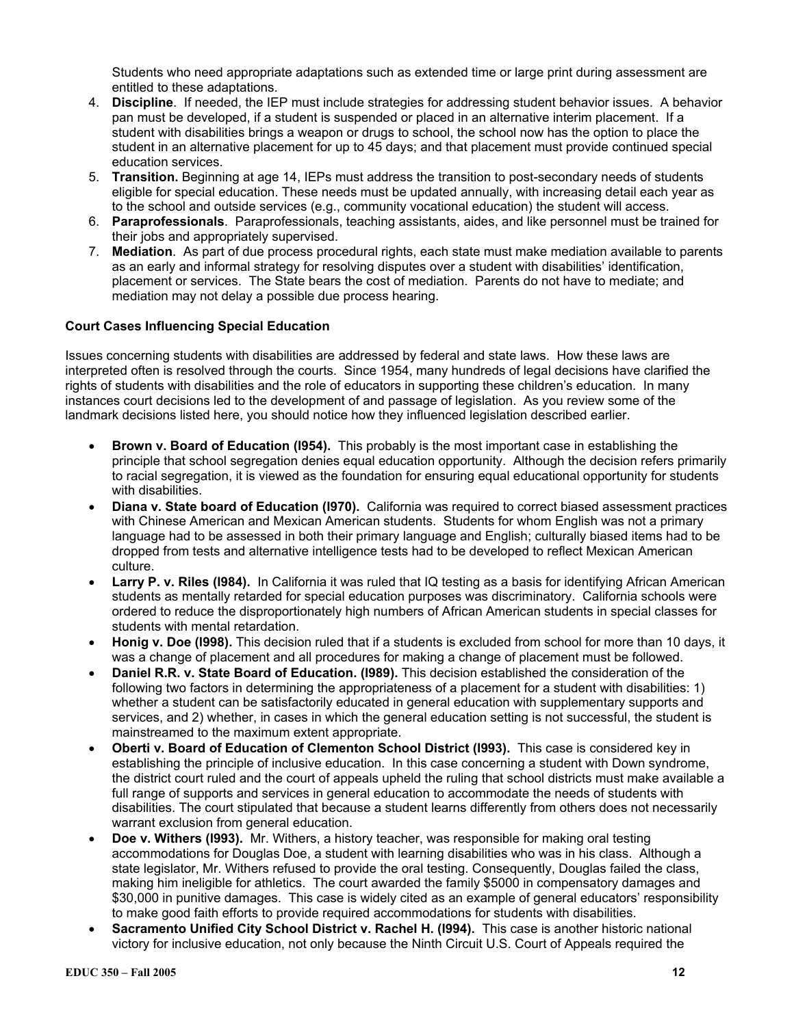Students who need appropriate adaptations such as extended time or large print during assessment are entitled to these adaptations.

- 4. **Discipline**. If needed, the IEP must include strategies for addressing student behavior issues. A behavior pan must be developed, if a student is suspended or placed in an alternative interim placement. If a student with disabilities brings a weapon or drugs to school, the school now has the option to place the student in an alternative placement for up to 45 days; and that placement must provide continued special education services.
- 5. **Transition.** Beginning at age 14, IEPs must address the transition to post-secondary needs of students eligible for special education. These needs must be updated annually, with increasing detail each year as to the school and outside services (e.g., community vocational education) the student will access.
- 6. **Paraprofessionals**. Paraprofessionals, teaching assistants, aides, and like personnel must be trained for their jobs and appropriately supervised.
- 7. **Mediation**. As part of due process procedural rights, each state must make mediation available to parents as an early and informal strategy for resolving disputes over a student with disabilities' identification, placement or services. The State bears the cost of mediation. Parents do not have to mediate; and mediation may not delay a possible due process hearing.

### **Court Cases Influencing Special Education**

Issues concerning students with disabilities are addressed by federal and state laws. How these laws are interpreted often is resolved through the courts. Since 1954, many hundreds of legal decisions have clarified the rights of students with disabilities and the role of educators in supporting these children's education. In many instances court decisions led to the development of and passage of legislation. As you review some of the landmark decisions listed here, you should notice how they influenced legislation described earlier.

- **Brown v. Board of Education (l954).** This probably is the most important case in establishing the principle that school segregation denies equal education opportunity. Although the decision refers primarily to racial segregation, it is viewed as the foundation for ensuring equal educational opportunity for students with disabilities.
- **Diana v. State board of Education (l970).** California was required to correct biased assessment practices with Chinese American and Mexican American students. Students for whom English was not a primary language had to be assessed in both their primary language and English; culturally biased items had to be dropped from tests and alternative intelligence tests had to be developed to reflect Mexican American culture.
- **Larry P. v. Riles (l984).** In California it was ruled that IQ testing as a basis for identifying African American students as mentally retarded for special education purposes was discriminatory. California schools were ordered to reduce the disproportionately high numbers of African American students in special classes for students with mental retardation.
- **Honig v. Doe (l998).** This decision ruled that if a students is excluded from school for more than 10 days, it was a change of placement and all procedures for making a change of placement must be followed.
- **Daniel R.R. v. State Board of Education. (l989).** This decision established the consideration of the following two factors in determining the appropriateness of a placement for a student with disabilities: 1) whether a student can be satisfactorily educated in general education with supplementary supports and services, and 2) whether, in cases in which the general education setting is not successful, the student is mainstreamed to the maximum extent appropriate.
- **Oberti v. Board of Education of Clementon School District (l993).** This case is considered key in establishing the principle of inclusive education. In this case concerning a student with Down syndrome, the district court ruled and the court of appeals upheld the ruling that school districts must make available a full range of supports and services in general education to accommodate the needs of students with disabilities. The court stipulated that because a student learns differently from others does not necessarily warrant exclusion from general education.
- **Doe v. Withers (l993).** Mr. Withers, a history teacher, was responsible for making oral testing accommodations for Douglas Doe, a student with learning disabilities who was in his class. Although a state legislator, Mr. Withers refused to provide the oral testing. Consequently, Douglas failed the class, making him ineligible for athletics. The court awarded the family \$5000 in compensatory damages and \$30,000 in punitive damages. This case is widely cited as an example of general educators' responsibility to make good faith efforts to provide required accommodations for students with disabilities.
- **Sacramento Unified City School District v. Rachel H. (l994).** This case is another historic national victory for inclusive education, not only because the Ninth Circuit U.S. Court of Appeals required the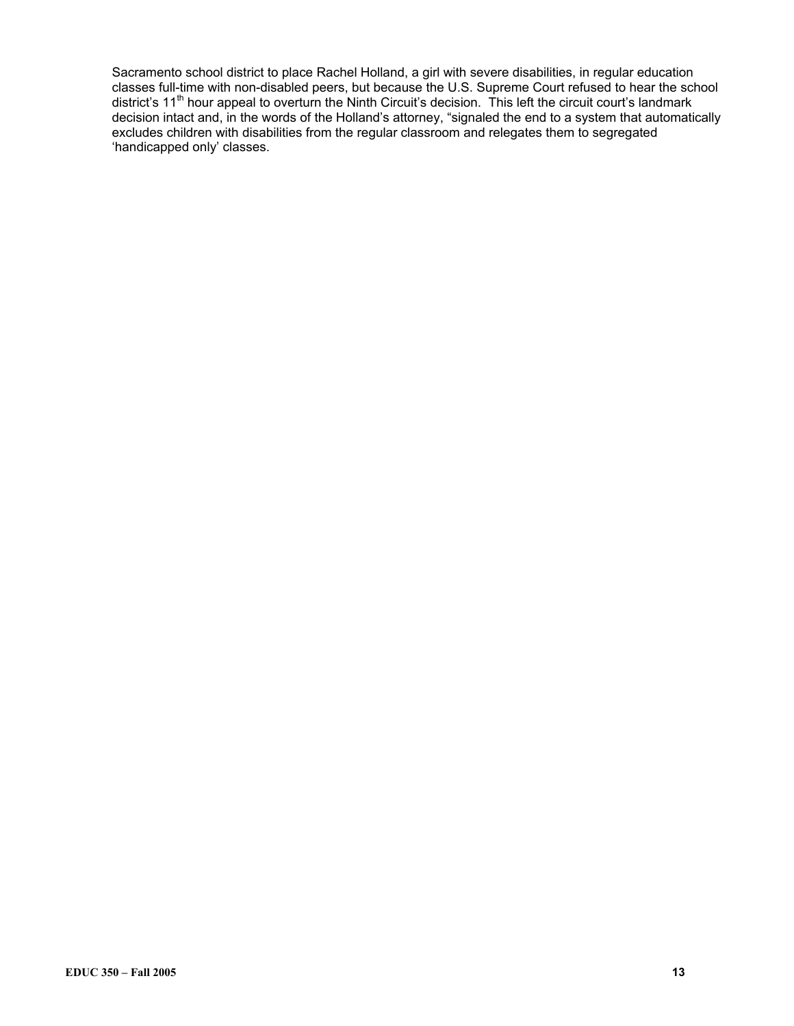Sacramento school district to place Rachel Holland, a girl with severe disabilities, in regular education classes full-time with non-disabled peers, but because the U.S. Supreme Court refused to hear the school district's 11th hour appeal to overturn the Ninth Circuit's decision. This left the circuit court's landmark decision intact and, in the words of the Holland's attorney, "signaled the end to a system that automatically excludes children with disabilities from the regular classroom and relegates them to segregated 'handicapped only' classes.